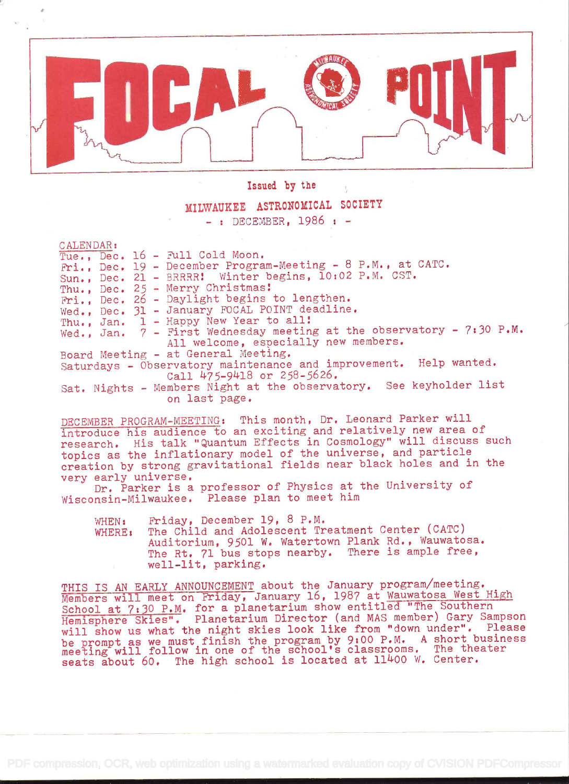

Issued by the

## MILWAUKEE ASTRONOMICAL SOCIETY

 $-$ : DECEMBER, 1986 :  $-$ 

CALENDAR:

Tue.,  $Dec. 16 - Full Cold Moon.$ ?ri. , Dec. 19 - December Program-Meeting - 8 P.M. , at CATC. Sun., Dec. 21 - BRRRR Winter begins, 10:02 P.M. CST. Thu., Dec. 25 - Merry Christmas! Fri., Dec. 26 - Daylight begins to lengthen. Wed., Dec. 31 - January FOCAL POINT deadline. Thu., Jan. 1 - Happy New Year to all! Wed., Jan. 7 - First Wednesday meeting at the observatory - 7:30 P.M. All welcome, especially new members. Board Meeting - at General Meeting. Saturdays - Observatory maintenance and improvement. Help wanted. Call 475-9418 or 258-5626. Sat. Nights - Members Night at the observatory. See keyholder list ori last page.

DECEMBER PROGRAM-MEETING: This month, Dr. Leonard Parker will introduce his audience to an exciting and relatively new area of research. His talk "Quantum Effects in Cosmology" will discuss such topics as the inflationary model of the universe, and particle creation by strong gravitational fields near black holes and in the very early universe.

Dr. Parker is a professor of Physics at the University of Wisconsin-Milwaukee. Please plan to meet him

WHEN: Friday, December 19, 8 P.M. WHERE: The Child and Adolescent Treatment Center (CATC) Auditorium, 9501 W. Watertown Plank Rd., Wauwatosa. The Rt. 71 bus stops nearby. There is ample free, . well-lit, parking.

THIS IS AN EARLY ANNOUNCEMENT about the January program/meeting. Members will meet on Friday, January 16, 1987 at Wauwatosa West High School at 7:30 P.M. for a planetarium show entitled "The Southern Hemisphere Skies". Planetarium Director (and MAS member) Gary Sampson will show us what the night skies look like from "down under". Please be prompt as we must finish the program by 9:00 P.M. A short business meeting will follow in one of the school's classrooms. The theater seats about 60. The high school is located at 11400 W. Center.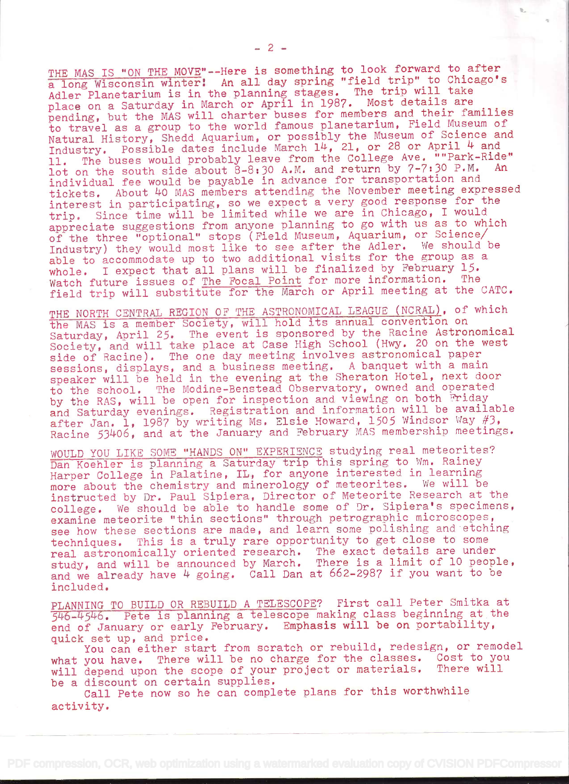THE MAS IS "ON THE MOVE"--Here is something to look forward to after a long Wisconsin winter! An all day spring "field trip" to Chicago's Adler Planetarium is in the planning stages. The trip will take place on a Saturday in March or April in 1987. Most details are pending, but the MAS will charter buses for members and their families to travel as a group to the world famous planetarium, Field Museum of Natural History, Shedd Aquarium, or possibly the Museum of Science and Industry. Possible dates include March 14, 21, or 28 or April 4 and 11. The buses would probably leave from the College Ave. ""Park-Ride" lot on the south side about  $8-8:30$  A.M. and return by  $7-7:30$  P.M. individual fee would be payable in advance for transportation and tickets. About 40 MAS members attending the November meeting expressed interest in participating, so we expect a very good response for the trip. Since time will be limited while we are in Chicago, I would appreciate suggestions from anyone planning to go with us as to which of the three "optional" stops (Field Museum, Aquarium, or Science/ Industry) they would most like to see after the Adler. We should be able to accommodate up to two additional visits for the group as <sup>a</sup> whole. I expect that all plans will be finalized by February 15. Watch future issues of The Focal Point for more information. The field trip will substitute for the March or April meeting at the CATC.

THE NORTH CENTRAL REGION OF THE ASTRONOMICAL LEAGUE (NCRAL), of which the MAS is a member Society, will hold its annual convention on Saturday, April 25. The event is sponsored by the Racine Astronomical Society, and will take place at Case High School (Hwy. 20 on the west side of Racine). The one day meeting involves astronomical paper sessions, displays, and a business meeting. A banquet with a main speaker will be held in the evening at the Sheraton Hotel, next door to the school. The Modine-Benstead Observatory, owned and operated by the RAS, will be open for inspection and viewing on both Friday and Saturday evenings. Registration and information will be available after Jan. 1, 1987 by writing Ms. Elsie Howard, 1505 Windsor Way  $#3$ , Racine 53)4O6, and at the January and February MAS membership meetings.

WOULD YOU LIKE SOME "HANDS ON" EXPERIENCE studying real meteorites? Dan Koehler is planning a Saturday trip this spring to Wm, Rainey Harper College in Palatine, IL, for anyone interested in learning more about the chemistry and minerology of meteorites. We will be instructed by Dr, Paul Sipiera, Director of Meteorite Research at the college. We should be able to handle some of Dr. Sipiera's specimens, examine meteorite "thin sections" through petrographic microscopes, see how these sections are made, and learn some polishing and etching techniques. This is a truly rare opportunity to get close to some real astronomically oriented research. The exact details are under study, and will be announced by March. There is a limit of 10 people, and we already have  $4$  going. Call Dan at  $662-2987$  if you want to be included.

PLANNING TO BUILD OR REBUILD A TELESCOPE? First call Peter Smitka at 546-4546. Pete is planning a telescope making class beginning at the end of January or early February. Emphasis will be on portability, quick set up, and price.

You can either start from scratch or rebuild, redesign, or remodel<br>you have. There will be no charge for the classes. Cost to you what you have. There will be no charge for the classes. will depend upon the scope of your project or materials. There will be a discount on certain supplies.

Call Pete now so he can complete plans for this worthwhile activity.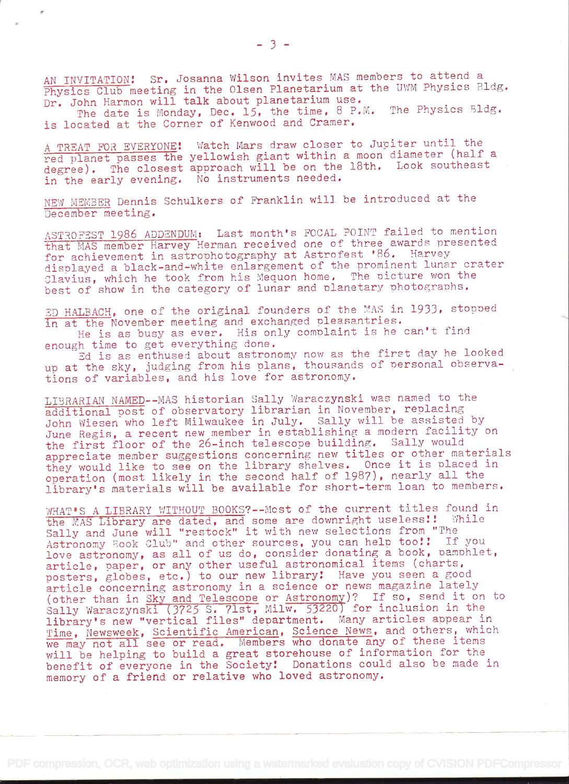AN INVITATION! Sr. Josanna Wilson invites MAS members to attend a Physics Club meeting in the Olsen Planetarium at the UWM Physics Bldg. Dr. John Harmon will talk about planetarium use.

The date is Monday, Dec. 15, the time, 8 P.M. The Physics Bldg. is located at the Corner of Kenwood and Cramer.

A TREAT FOR EVERYONE! Watch Mars draw closer to Jupiter until the red planet passes the yellowish giant within a moon diameter (half <sup>a</sup> degree). The closest approach will be on the 18th. Look southeast in the early evening. No instruments needed.

NEW MEMBER Dennis Schulkers of Franklin will be introduced at the December meeting.

ASTROFEST 1986 ADDENDUM: Last month's FOCAL POINT failed to mention that MAS member Harvey Herman received one of three awards presented for achievement in astrophotography at Astrofest '86. Harvey displayed a black-and-white enlargement of the prominent lunar crater Clavius, which he took from his Mequon home. The picture won the best of show in the category of lunar and planetary photographs.

ED HALBACH, one of the original founders of the MAS in 1933, stopped in at the November meeting and exchanged pleasantries. He is as busy as ever. His only comolaint is he can't find

enough time to get everything done,

Ed is as enthused about astronomy now as the first day he looked up at the sky, judging from his plans, thousands of personal observations of variables, and his love for astronomy.

LIBRARIAN NAMED--MAS historian Sally Waraczynski was named to the additional post of observatory librarian in November, replacing John Wiesen who left Milwaukee in July. Sally will he assisted by June Regis, a recent new member in establishing a modern facility on the first floor of the 26-inch telescope building. Sally would appreciate member suggestions concerning new titles or other materials they would like to see on the library shelves. Once it is placed in operation (most likely in the second half of 1987), nearly all the library's materials will be available for short-term loan to members.

WHAT'S A LIBRARY WITHOUT BOOKS?--Most of the current titles found in the MAS Library are dated, and some are downright useless!! While Sally and June will "restock" it with new selections from "The Astronomy Book Club" and other sources, you can help too!! If you love astronomy, as all of us do, consider donating a book, pamphlet, article, paper, or any other useful astronomical items (charts, posters, globes, etc.) to our new library! Have you seen a good article concerning astronomy in a science or news magazine lately article concerning astronomy in a science or news magazine lately<br>(other than in Sky and Telescope or Astronomy)? If so, send it on to (other than in SAy and release of  $\frac{1}{100}$  for inclusion in the Sally Waraczynski  $(3725 \text{ S. } 71 \text{ st. } \text{Milw. } 53220)$  for inclusion in the library's new "vertical files" department. Many articles appear in Time, Newsweek, Scientific American, Science News, and others, which we may not all see or read. Members who donate any of these items will be helping to build a great storehouse of information for the benefit of everyone in the Society! Donations could also be made in memory of a friend or relative who loved astronomy.